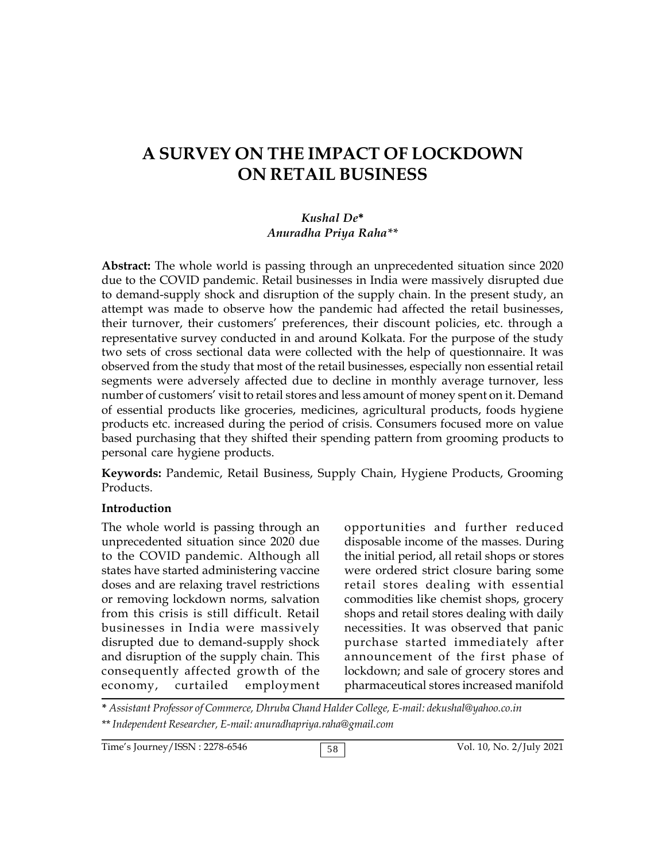# **A SURVEY ON THE IMPACT OF LOCKDOWN ON RETAIL BUSINESS**

#### *Kushal De***\*** *Anuradha Priya Raha\*\**

**Abstract:** The whole world is passing through an unprecedented situation since 2020 due to the COVID pandemic. Retail businesses in India were massively disrupted due to demand-supply shock and disruption of the supply chain. In the present study, an attempt was made to observe how the pandemic had affected the retail businesses, their turnover, their customers' preferences, their discount policies, etc. through a representative survey conducted in and around Kolkata. For the purpose of the study two sets of cross sectional data were collected with the help of questionnaire. It was observed from the study that most of the retail businesses, especially non essential retail segments were adversely affected due to decline in monthly average turnover, less number of customers' visit to retail stores and less amount of money spent on it. Demand of essential products like groceries, medicines, agricultural products, foods hygiene products etc. increased during the period of crisis. Consumers focused more on value based purchasing that they shifted their spending pattern from grooming products to personal care hygiene products.

**Keywords:** Pandemic, Retail Business, Supply Chain, Hygiene Products, Grooming Products.

#### **Introduction**

The whole world is passing through an unprecedented situation since 2020 due to the COVID pandemic. Although all states have started administering vaccine doses and are relaxing travel restrictions or removing lockdown norms, salvation from this crisis is still difficult. Retail businesses in India were massively disrupted due to demand-supply shock and disruption of the supply chain. This consequently affected growth of the economy, curtailed employment

opportunities and further reduced disposable income of the masses. During the initial period, all retail shops or stores were ordered strict closure baring some retail stores dealing with essential commodities like chemist shops, grocery shops and retail stores dealing with daily necessities. It was observed that panic purchase started immediately after announcement of the first phase of lockdown; and sale of grocery stores and pharmaceutical stores increased manifold

**\*** *Assistant Professor of Commerce, Dhruba Chand Halder College, E-mail: dekushal@yahoo.co.in* \*\**Independent Researcher, E-mail: anuradhapriya.raha@gmail.com*

Time's Journey/ISSN : 2278-6546 58 38 Vol. 10, No. 2/July 2021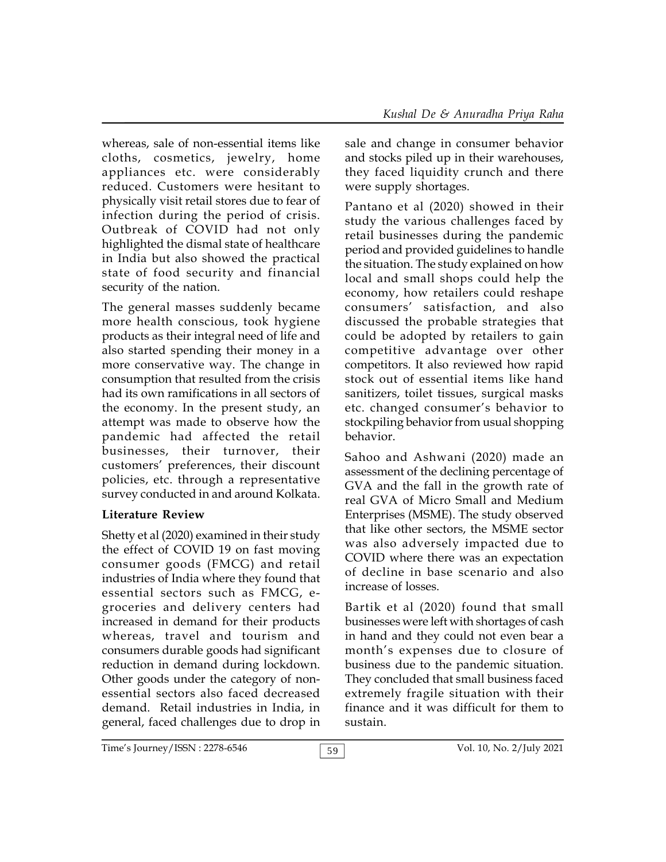whereas, sale of non-essential items like cloths, cosmetics, jewelry, home appliances etc. were considerably reduced. Customers were hesitant to physically visit retail stores due to fear of infection during the period of crisis. Outbreak of COVID had not only highlighted the dismal state of healthcare in India but also showed the practical state of food security and financial security of the nation.

The general masses suddenly became more health conscious, took hygiene products as their integral need of life and also started spending their money in a more conservative way. The change in consumption that resulted from the crisis had its own ramifications in all sectors of the economy. In the present study, an attempt was made to observe how the pandemic had affected the retail businesses, their turnover, their customers' preferences, their discount policies, etc. through a representative survey conducted in and around Kolkata.

# **Literature Review**

Shetty et al (2020) examined in their study the effect of COVID 19 on fast moving consumer goods (FMCG) and retail industries of India where they found that essential sectors such as FMCG, egroceries and delivery centers had increased in demand for their products whereas, travel and tourism and consumers durable goods had significant reduction in demand during lockdown. Other goods under the category of nonessential sectors also faced decreased demand. Retail industries in India, in general, faced challenges due to drop in sale and change in consumer behavior and stocks piled up in their warehouses, they faced liquidity crunch and there were supply shortages.

Pantano et al (2020) showed in their study the various challenges faced by retail businesses during the pandemic period and provided guidelines to handle the situation. The study explained on how local and small shops could help the economy, how retailers could reshape consumers' satisfaction, and also discussed the probable strategies that could be adopted by retailers to gain competitive advantage over other competitors. It also reviewed how rapid stock out of essential items like hand sanitizers, toilet tissues, surgical masks etc. changed consumer's behavior to stockpiling behavior from usual shopping behavior.

Sahoo and Ashwani (2020) made an assessment of the declining percentage of GVA and the fall in the growth rate of real GVA of Micro Small and Medium Enterprises (MSME). The study observed that like other sectors, the MSME sector was also adversely impacted due to COVID where there was an expectation of decline in base scenario and also increase of losses.

Bartik et al (2020) found that small businesses were left with shortages of cash in hand and they could not even bear a month's expenses due to closure of business due to the pandemic situation. They concluded that small business faced extremely fragile situation with their finance and it was difficult for them to sustain.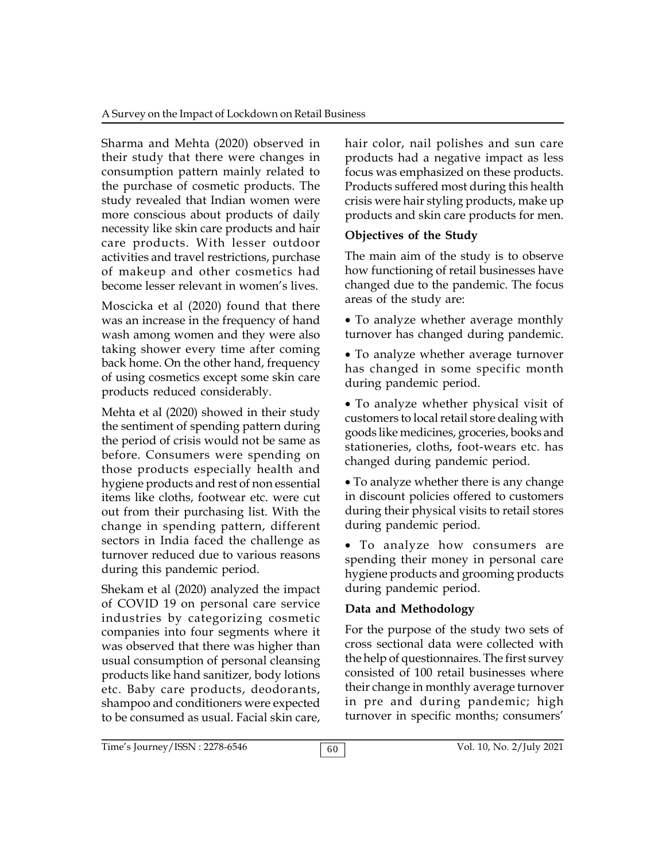Sharma and Mehta (2020) observed in their study that there were changes in consumption pattern mainly related to the purchase of cosmetic products. The study revealed that Indian women were more conscious about products of daily necessity like skin care products and hair care products. With lesser outdoor activities and travel restrictions, purchase of makeup and other cosmetics had become lesser relevant in women's lives.

Moscicka et al (2020) found that there was an increase in the frequency of hand wash among women and they were also taking shower every time after coming back home. On the other hand, frequency of using cosmetics except some skin care products reduced considerably.

Mehta et al (2020) showed in their study the sentiment of spending pattern during the period of crisis would not be same as before. Consumers were spending on those products especially health and hygiene products and rest of non essential items like cloths, footwear etc. were cut out from their purchasing list. With the change in spending pattern, different sectors in India faced the challenge as turnover reduced due to various reasons during this pandemic period.

Shekam et al (2020) analyzed the impact of COVID 19 on personal care service industries by categorizing cosmetic companies into four segments where it was observed that there was higher than usual consumption of personal cleansing products like hand sanitizer, body lotions etc. Baby care products, deodorants, shampoo and conditioners were expected to be consumed as usual. Facial skin care,

hair color, nail polishes and sun care products had a negative impact as less focus was emphasized on these products. Products suffered most during this health crisis were hair styling products, make up products and skin care products for men.

## **Objectives of the Study**

The main aim of the study is to observe how functioning of retail businesses have changed due to the pandemic. The focus areas of the study are:

• To analyze whether average monthly turnover has changed during pandemic.

To analyze whether average turnover has changed in some specific month during pandemic period.

To analyze whether physical visit of customers to local retail store dealing with goods like medicines, groceries, books and stationeries, cloths, foot-wears etc. has changed during pandemic period.

To analyze whether there is any change in discount policies offered to customers during their physical visits to retail stores during pandemic period.

 To analyze how consumers are spending their money in personal care hygiene products and grooming products during pandemic period.

## **Data and Methodology**

For the purpose of the study two sets of cross sectional data were collected with the help of questionnaires. The first survey consisted of 100 retail businesses where their change in monthly average turnover in pre and during pandemic; high turnover in specific months; consumers'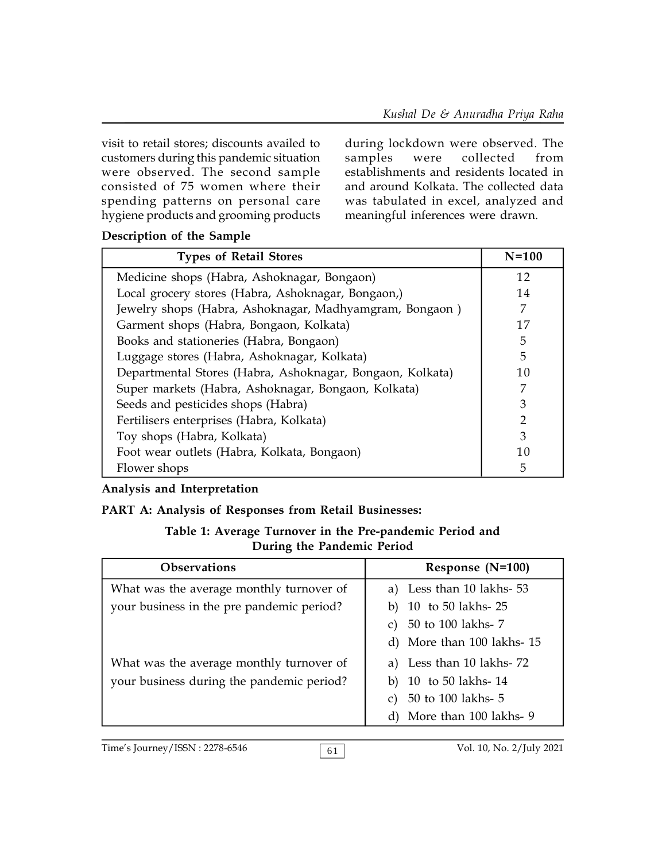visit to retail stores; discounts availed to during locustomers during this pandemic situation samples customers during this pandemic situation were observed. The second sample consisted of 75 women where their spending patterns on personal care hygiene products and grooming products

during lockdown were observed. The were collected from establishments and residents located in and around Kolkata. The collected data was tabulated in excel, analyzed and meaningful inferences were drawn.

| Description of the Sample |  |
|---------------------------|--|
|---------------------------|--|

| <b>Types of Retail Stores</b>                             | $N=100$       |
|-----------------------------------------------------------|---------------|
| Medicine shops (Habra, Ashoknagar, Bongaon)               | 12            |
| Local grocery stores (Habra, Ashoknagar, Bongaon,)        | 14            |
| Jewelry shops (Habra, Ashoknagar, Madhyamgram, Bongaon)   | 7             |
| Garment shops (Habra, Bongaon, Kolkata)                   | 17            |
| Books and stationeries (Habra, Bongaon)                   | 5             |
| Luggage stores (Habra, Ashoknagar, Kolkata)               | 5             |
| Departmental Stores (Habra, Ashoknagar, Bongaon, Kolkata) | 10            |
| Super markets (Habra, Ashoknagar, Bongaon, Kolkata)       | 7             |
| Seeds and pesticides shops (Habra)                        | 3             |
| Fertilisers enterprises (Habra, Kolkata)                  | $\mathcal{P}$ |
| Toy shops (Habra, Kolkata)                                | 3             |
| Foot wear outlets (Habra, Kolkata, Bongaon)               | 10            |
| Flower shops                                              | 5             |

## **Analysis and Interpretation**

## **PART A: Analysis of Responses from Retail Businesses:**

#### **Table 1: Average Turnover in the Pre-pandemic Period and During the Pandemic Period**

| <b>Observations</b>                       | Response (N=100)            |
|-------------------------------------------|-----------------------------|
| What was the average monthly turnover of  | a) Less than 10 lakhs- 53   |
| your business in the pre pandemic period? | 10 to 50 lakhs-25           |
|                                           | 50 to 100 lakhs- 7<br>C)    |
|                                           | d) More than 100 lakhs-15   |
| What was the average monthly turnover of  | a) Less than 10 lakhs-72    |
| your business during the pandemic period? | b) $10$ to $50$ lakhs- $14$ |
|                                           | 50 to 100 lakhs- 5          |
|                                           | d) More than 100 lakhs- 9   |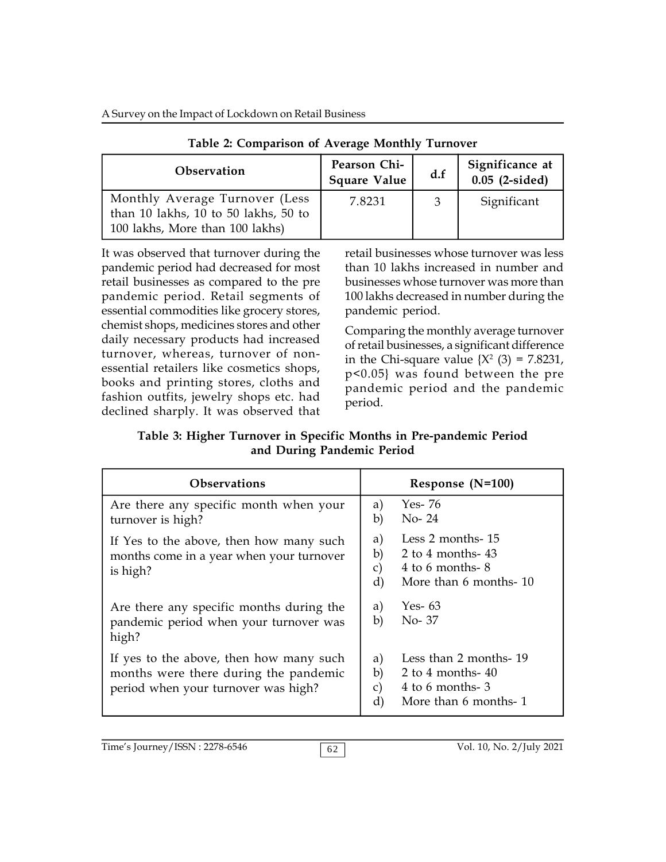A Survey on the Impact of Lockdown on Retail Business

| <b>Observation</b>                                                                                        | Pearson Chi-<br><b>Square Value</b> | d.f | Significance at<br>$0.05$ (2-sided) |
|-----------------------------------------------------------------------------------------------------------|-------------------------------------|-----|-------------------------------------|
| Monthly Average Turnover (Less<br>than 10 lakhs, 10 to 50 lakhs, 50 to<br>100 lakhs, More than 100 lakhs) | 7.8231                              | 3   | Significant                         |

**Table 2: Comparison of Average Monthly Turnover**

It was observed that turnover during the pandemic period had decreased for most retail businesses as compared to the pre pandemic period. Retail segments of essential commodities like grocery stores, chemist shops, medicines stores and other daily necessary products had increased turnover, whereas, turnover of nonessential retailers like cosmetics shops, books and printing stores, cloths and fashion outfits, jewelry shops etc. had declined sharply. It was observed that retail businesses whose turnover was less than 10 lakhs increased in number and businesses whose turnover was more than 100 lakhs decreased in number during the pandemic period.

Comparing the monthly average turnover of retail businesses, a significant difference in the Chi-square value  $\{X^2 \; (3) = 7.8231, \}$ p<0.05} was found between the pre pandemic period and the pandemic period.

**Table 3: Higher Turnover in Specific Months in Pre-pandemic Period and During Pandemic Period**

| <b>Observations</b>                                                                                                     | Response $(N=100)$                                                                                               |  |  |
|-------------------------------------------------------------------------------------------------------------------------|------------------------------------------------------------------------------------------------------------------|--|--|
| Are there any specific month when your<br>turnover is high?                                                             | Yes- 76<br>a)<br>$No-24$<br>b)                                                                                   |  |  |
| If Yes to the above, then how many such<br>months come in a year when your turnover<br>is high?                         | Less 2 months-15<br>a)<br>b)<br>2 to 4 months- $43$<br>4 to 6 months- $8$<br>c)<br>More than 6 months-10<br>d)   |  |  |
| Are there any specific months during the<br>pandemic period when your turnover was<br>high?                             | Yes- 63<br>a)<br>b)<br>No-37                                                                                     |  |  |
| If yes to the above, then how many such<br>months were there during the pandemic<br>period when your turnover was high? | Less than 2 months-19<br>a)<br>b)<br>2 to 4 months- $40$<br>4 to 6 months-3<br>C)<br>More than 6 months- 1<br>d) |  |  |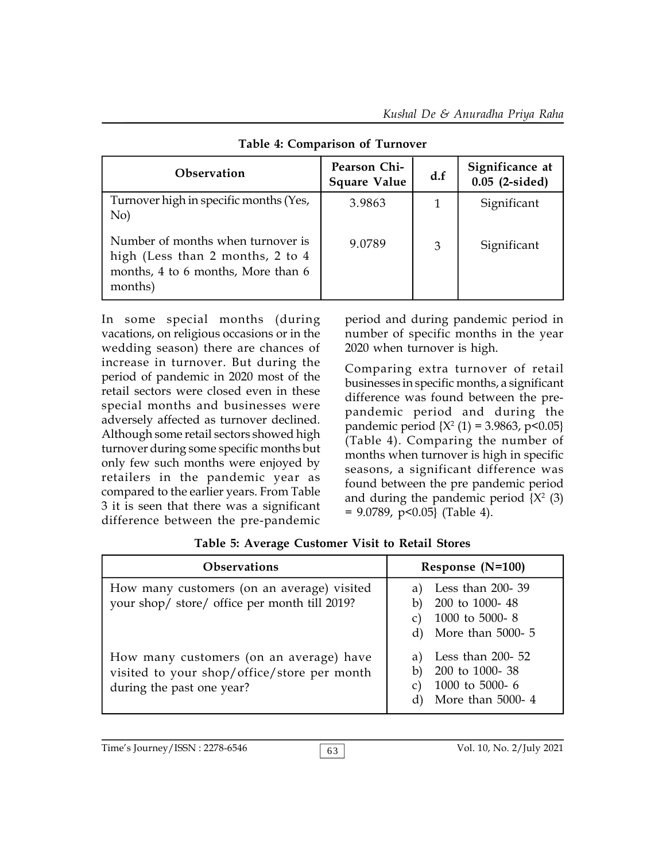| <b>Observation</b>                                                                                                     | Pearson Chi-<br><b>Square Value</b> | d.f | Significance at<br>$0.05$ (2-sided) |
|------------------------------------------------------------------------------------------------------------------------|-------------------------------------|-----|-------------------------------------|
| Turnover high in specific months (Yes,<br>No)                                                                          | 3.9863                              |     | Significant                         |
| Number of months when turnover is<br>high (Less than 2 months, 2 to 4<br>months, 4 to 6 months, More than 6<br>months) | 9.0789                              | 3   | Significant                         |

**Table 4: Comparison of Turnover**

In some special months (during vacations, on religious occasions or in the wedding season) there are chances of increase in turnover. But during the period of pandemic in 2020 most of the retail sectors were closed even in these special months and businesses were adversely affected as turnover declined. Although some retail sectors showed high turnover during some specific months but only few such months were enjoyed by retailers in the pandemic year as compared to the earlier years. From Table 3 it is seen that there was a significant difference between the pre-pandemic

period and during pandemic period in number of specific months in the year 2020 when turnover is high.

Comparing extra turnover of retail businesses in specific months, a significant difference was found between the prepandemic period and during the pandemic period {X<sup>2</sup> (1) = 3.9863, p<0.05} (Table 4). Comparing the number of months when turnover is high in specific seasons, a significant difference was found between the pre pandemic period and during the pandemic period {X<sup>2</sup> (3)  $= 9.0789$ , p<0.05} (Table 4).

| <b>Observations</b>                                                                                                 | Response (N=100)                                                                   |  |
|---------------------------------------------------------------------------------------------------------------------|------------------------------------------------------------------------------------|--|
| How many customers (on an average) visited<br>your shop/ store/ office per month till 2019?                         | Less than 200-39<br>200 to 1000-48<br>1000 to 5000-8<br>More than 5000- 5<br>d)    |  |
| How many customers (on an average) have<br>visited to your shop/office/store per month<br>during the past one year? | Less than $200 - 52$<br>200 to 1000-38<br>b)<br>1000 to 5000-6<br>More than 5000-4 |  |

**Table 5: Average Customer Visit to Retail Stores**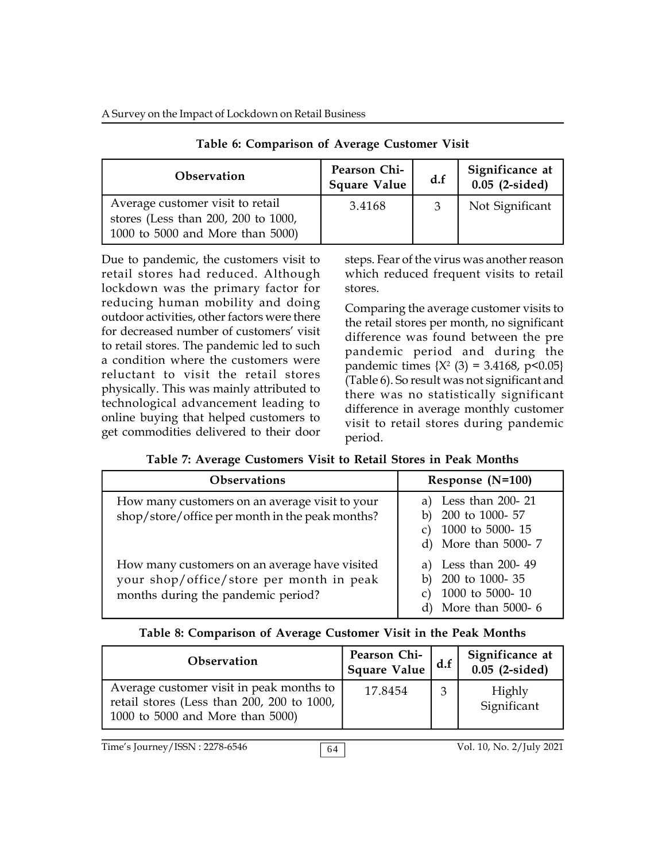| Observation                                                                                                 | Pearson Chi-<br><b>Square Value</b> | d.f | Significance at<br>$0.05$ (2-sided) |
|-------------------------------------------------------------------------------------------------------------|-------------------------------------|-----|-------------------------------------|
| Average customer visit to retail<br>stores (Less than 200, 200 to 1000,<br>1000 to 5000 and More than 5000) | 3.4168                              |     | Not Significant                     |

**Table 6: Comparison of Average Customer Visit**

Due to pandemic, the customers visit to retail stores had reduced. Although lockdown was the primary factor for reducing human mobility and doing outdoor activities, other factors were there for decreased number of customers' visit to retail stores. The pandemic led to such a condition where the customers were reluctant to visit the retail stores physically. This was mainly attributed to technological advancement leading to online buying that helped customers to get commodities delivered to their door

steps. Fear of the virus was another reason which reduced frequent visits to retail stores.

Comparing the average customer visits to the retail stores per month, no significant difference was found between the pre pandemic period and during the pandemic times  $\{X^2 (3) = 3.4168, p < 0.05\}$ (Table 6). So result was not significant and there was no statistically significant difference in average monthly customer visit to retail stores during pandemic period.

| <b>Observations</b>                                                                                                             | Response (N=100)                                                                 |
|---------------------------------------------------------------------------------------------------------------------------------|----------------------------------------------------------------------------------|
| How many customers on an average visit to your<br>shop/store/office per month in the peak months?                               | a) Less than 200-21<br>200 to 1000- 57<br>1000 to 5000-15<br>d) More than 5000-7 |
| How many customers on an average have visited<br>your shop/office/store per month in peak<br>months during the pandemic period? | a) Less than 200-49<br>200 to 1000-35<br>1000 to 5000-10<br>More than 5000-6     |

| <b>Observation</b>                                                                                                         | Pearson Chi-<br>Square Value | d.f | Significance at<br>$0.05$ (2-sided) |
|----------------------------------------------------------------------------------------------------------------------------|------------------------------|-----|-------------------------------------|
| Average customer visit in peak months to<br>retail stores (Less than 200, 200 to 1000,<br>1000 to 5000 and More than 5000) | 17.8454                      |     | Highly<br>Significant               |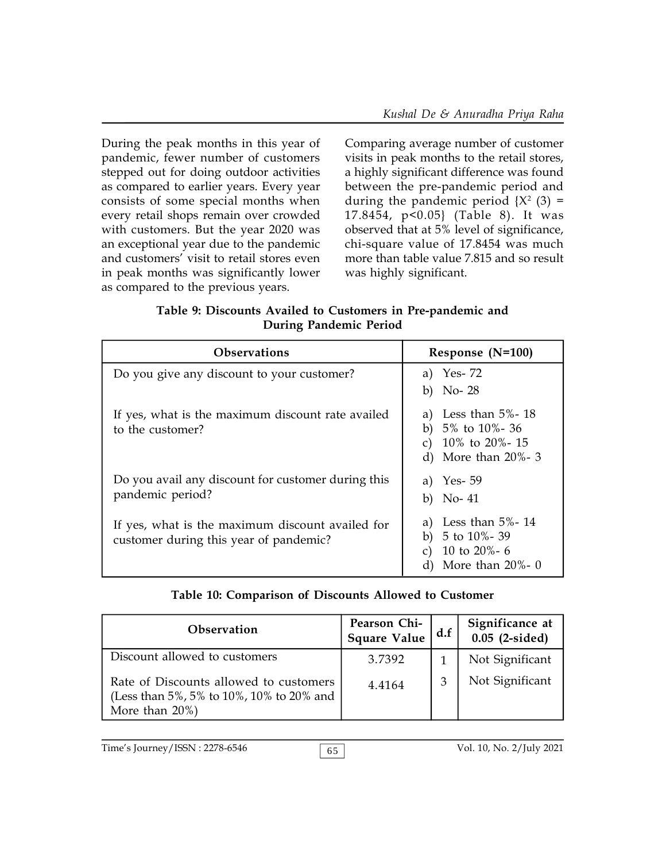During the peak months in this year of pandemic, fewer number of customers stepped out for doing outdoor activities as compared to earlier years. Every year consists of some special months when every retail shops remain over crowded with customers. But the year 2020 was an exceptional year due to the pandemic and customers' visit to retail stores even in peak months was significantly lower as compared to the previous years.

Comparing average number of customer visits in peak months to the retail stores, a highly significant difference was found between the pre-pandemic period and during the pandemic period  $\{X^2 \; (3) =$ 17.8454, p<0.05} (Table 8). It was observed that at 5% level of significance, chi-square value of 17.8454 was much more than table value 7.815 and so result was highly significant.

| Table 9: Discounts Availed to Customers in Pre-pandemic and |  |
|-------------------------------------------------------------|--|
| During Pandemic Period                                      |  |

| <b>Observations</b>                                                                        | Response $(N=100)$                                                                                           |  |
|--------------------------------------------------------------------------------------------|--------------------------------------------------------------------------------------------------------------|--|
| Do you give any discount to your customer?                                                 | a) Yes-72<br>b) No- $28$                                                                                     |  |
| If yes, what is the maximum discount rate availed<br>to the customer?                      | Less than $5\%$ - 18<br>a)<br>b) $5\%$ to $10\%$ - 36<br>c) $10\%$ to $20\%$ - 15<br>d) More than $20\% - 3$ |  |
| Do you avail any discount for customer during this<br>pandemic period?                     | a) Yes- 59<br>b) No- $41$                                                                                    |  |
| If yes, what is the maximum discount availed for<br>customer during this year of pandemic? | Less than $5\%$ - 14<br>a)<br>b) $5$ to $10\%$ - 39<br>10 to 20%- $6$<br>More than $20\%$ - 0                |  |

## **Table 10: Comparison of Discounts Allowed to Customer**

| <b>Observation</b>                                                                                       | Pearson Chi-<br><b>Square Value</b> | d.f | Significance at<br>$0.05$ (2-sided) |
|----------------------------------------------------------------------------------------------------------|-------------------------------------|-----|-------------------------------------|
| Discount allowed to customers                                                                            | 3.7392                              |     | Not Significant                     |
| Rate of Discounts allowed to customers<br>(Less than 5%, 5% to 10%, 10% to 20% and<br>More than $20\%$ ) | 4.4164                              |     | Not Significant                     |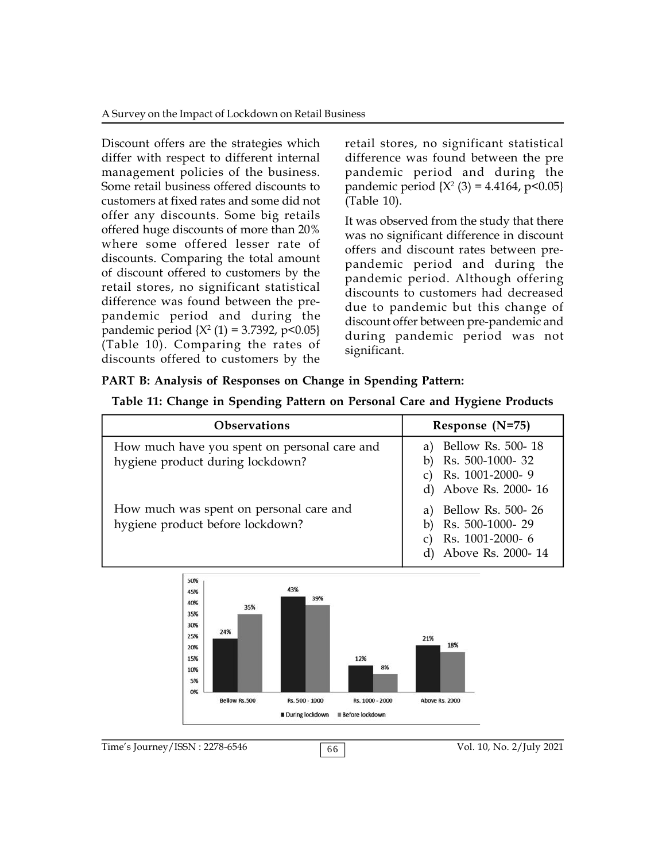A Survey on the Impact of Lockdown on Retail Business

Discount offers are the strategies which differ with respect to different internal management policies of the business. Some retail business offered discounts to customers at fixed rates and some did not offer any discounts. Some big retails offered huge discounts of more than 20% where some offered lesser rate of discounts. Comparing the total amount of discount offered to customers by the retail stores, no significant statistical difference was found between the prepandemic period and during the pandemic period  $\{X^2(1) = 3.7392, p < 0.05\}$ (Table 10). Comparing the rates of discounts offered to customers by the

retail stores, no significant statistical difference was found between the pre pandemic period and during the pandemic period {X<sup>2</sup> (3) = 4.4164, p<0.05} (Table 10).

It was observed from the study that there was no significant difference in discount offers and discount rates between prepandemic period and during the pandemic period. Although offering discounts to customers had decreased due to pandemic but this change of discount offer between pre-pandemic and during pandemic period was not significant.

## **PART B: Analysis of Responses on Change in Spending Pattern:**

|  |  | Table 11: Change in Spending Pattern on Personal Care and Hygiene Products |
|--|--|----------------------------------------------------------------------------|
|--|--|----------------------------------------------------------------------------|

| <b>Observations</b>                                                              | Response $(N=75)$                                                                  |  |
|----------------------------------------------------------------------------------|------------------------------------------------------------------------------------|--|
| How much have you spent on personal care and<br>hygiene product during lockdown? | a) Bellow Rs. 500-18<br>Rs. 500-1000-32<br>Rs. 1001-2000-9<br>d) Above Rs. 2000-16 |  |
| How much was spent on personal care and<br>hygiene product before lockdown?      | a) Bellow Rs. 500-26<br>Rs. 500-1000-29<br>Rs. 1001-2000-6<br>d) Above Rs. 2000-14 |  |

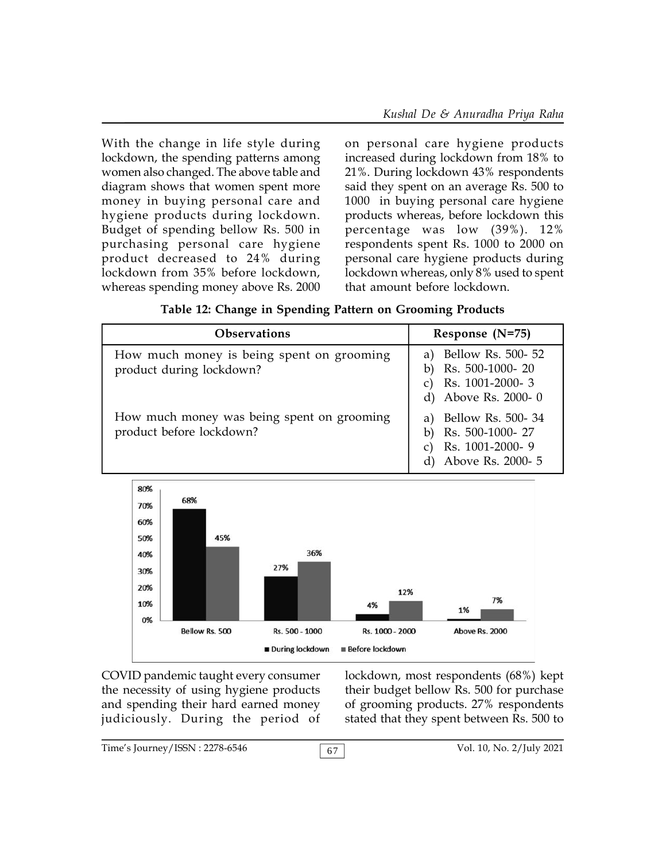With the change in life style during lockdown, the spending patterns among women also changed. The above table and diagram shows that women spent more money in buying personal care and hygiene products during lockdown. Budget of spending bellow Rs. 500 in purchasing personal care hygiene product decreased to 24% during lockdown from 35% before lockdown, whereas spending money above Rs. 2000 on personal care hygiene products increased during lockdown from 18% to 21%. During lockdown 43% respondents said they spent on an average Rs. 500 to 1000 in buying personal care hygiene products whereas, before lockdown this percentage was low (39%). 12% respondents spent Rs. 1000 to 2000 on personal care hygiene products during lockdown whereas, only 8% used to spent that amount before lockdown.

|  | Table 12: Change in Spending Pattern on Grooming Products |  |  |  |  |
|--|-----------------------------------------------------------|--|--|--|--|
|--|-----------------------------------------------------------|--|--|--|--|

| <b>Observations</b>                                                    | Response $(N=75)$                                                               |
|------------------------------------------------------------------------|---------------------------------------------------------------------------------|
| How much money is being spent on grooming<br>product during lockdown?  | Bellow Rs. 500- 52<br>Rs. 500-1000-20<br>Rs. 1001-2000-3<br>d) Above Rs. 2000-0 |
| How much money was being spent on grooming<br>product before lockdown? | Bellow Rs. 500-34<br>Rs. 500-1000-27<br>Rs. 1001-2000-9<br>Above Rs. 2000- 5    |



COVID pandemic taught every consumer the necessity of using hygiene products and spending their hard earned money judiciously. During the period of lockdown, most respondents (68%) kept their budget bellow Rs. 500 for purchase of grooming products. 27% respondents stated that they spent between Rs. 500 to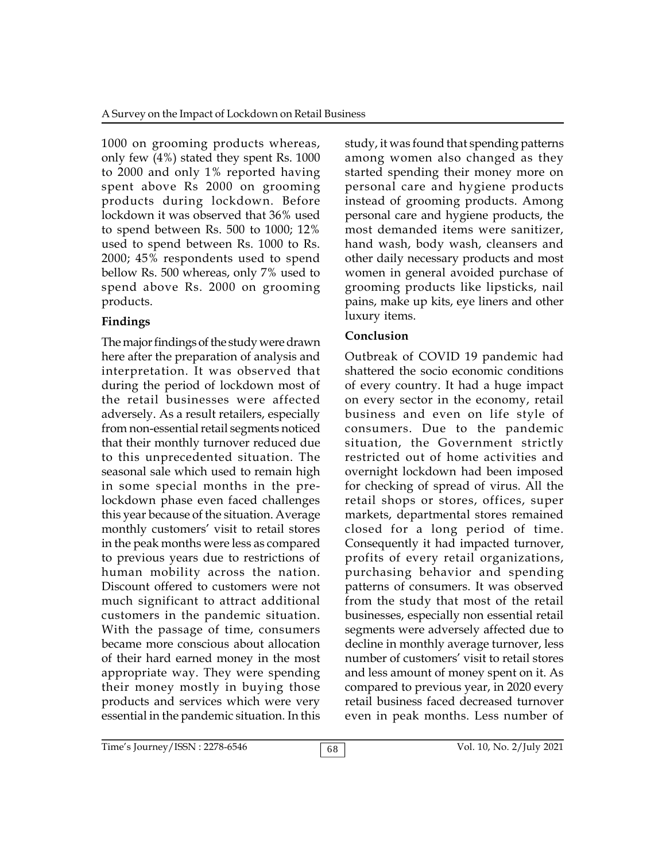1000 on grooming products whereas, only few (4%) stated they spent Rs. 1000 to 2000 and only 1% reported having spent above Rs 2000 on grooming products during lockdown. Before lockdown it was observed that 36% used to spend between Rs. 500 to 1000; 12% used to spend between Rs. 1000 to Rs. 2000; 45% respondents used to spend bellow Rs. 500 whereas, only 7% used to spend above Rs. 2000 on grooming products.

## **Findings**

The major findings of the study were drawn here after the preparation of analysis and interpretation. It was observed that during the period of lockdown most of the retail businesses were affected adversely. As a result retailers, especially from non-essential retail segments noticed that their monthly turnover reduced due to this unprecedented situation. The seasonal sale which used to remain high in some special months in the prelockdown phase even faced challenges this year because of the situation. Average monthly customers' visit to retail stores in the peak months were less as compared to previous years due to restrictions of human mobility across the nation. Discount offered to customers were not much significant to attract additional customers in the pandemic situation. With the passage of time, consumers became more conscious about allocation of their hard earned money in the most appropriate way. They were spending their money mostly in buying those products and services which were very essential in the pandemic situation. In this

study, it was found that spending patterns among women also changed as they started spending their money more on personal care and hygiene products instead of grooming products. Among personal care and hygiene products, the most demanded items were sanitizer, hand wash, body wash, cleansers and other daily necessary products and most women in general avoided purchase of grooming products like lipsticks, nail pains, make up kits, eye liners and other luxury items.

# **Conclusion**

Outbreak of COVID 19 pandemic had shattered the socio economic conditions of every country. It had a huge impact on every sector in the economy, retail business and even on life style of consumers. Due to the pandemic situation, the Government strictly restricted out of home activities and overnight lockdown had been imposed for checking of spread of virus. All the retail shops or stores, offices, super markets, departmental stores remained closed for a long period of time. Consequently it had impacted turnover, profits of every retail organizations, purchasing behavior and spending patterns of consumers. It was observed from the study that most of the retail businesses, especially non essential retail segments were adversely affected due to decline in monthly average turnover, less number of customers' visit to retail stores and less amount of money spent on it. As compared to previous year, in 2020 every retail business faced decreased turnover even in peak months. Less number of